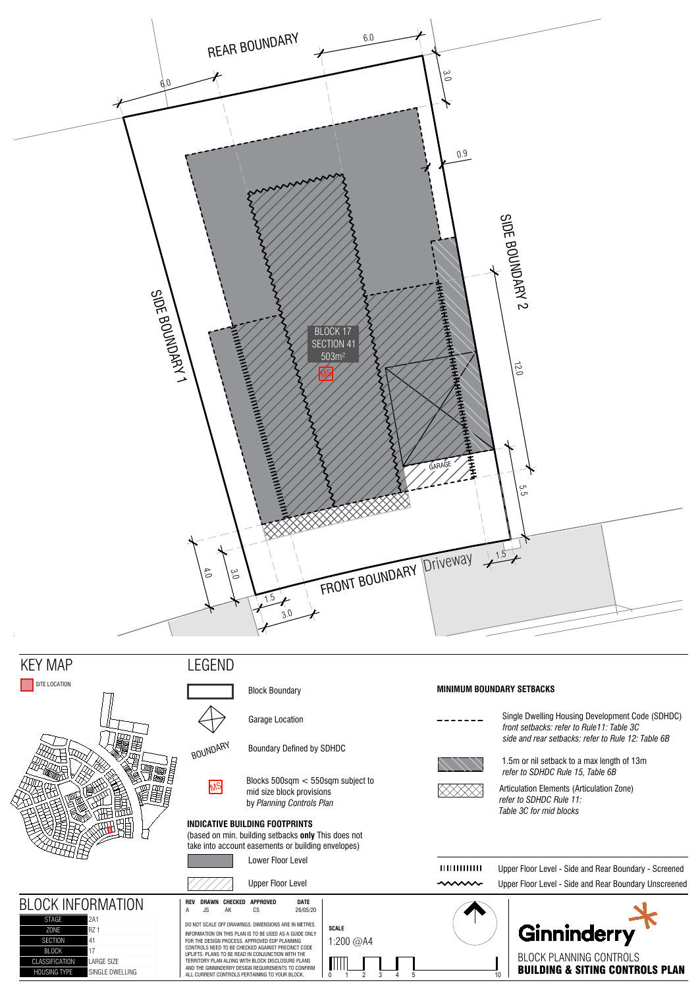